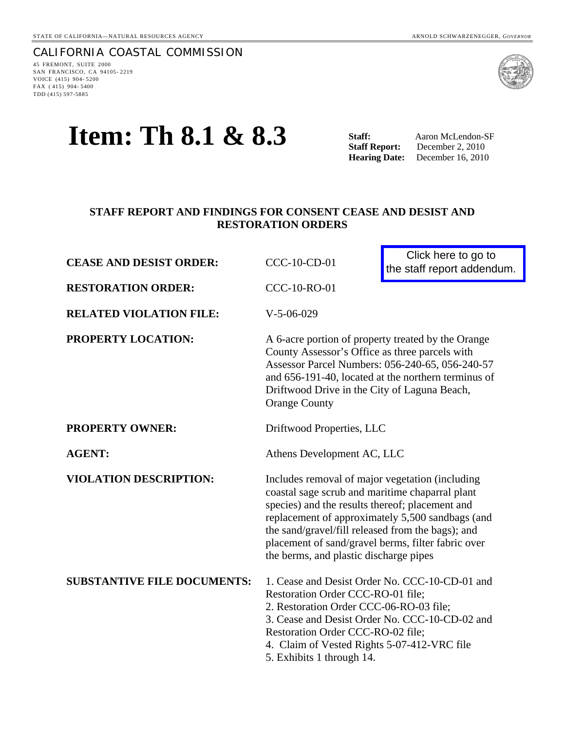CALIFORNIA COASTAL COMMISSION 45 FREMONT, SUITE 2000 SAN FRANCISCO, CA 94105- 2219 VOICE (415) 904- 5200 FAX ( 415) 904- 5400 TDD (415) 597-5885



# **Item: Th 8.1 & 8.3** Staff: Aaron McLendon-SF Aaron McLendon-SF

**Hearing Date:** December 16, 2010

## **STAFF REPORT AND FINDINGS FOR CONSENT CEASE AND DESIST AND RESTORATION ORDERS**

| <b>CEASE AND DESIST ORDER:</b>     | CCC-10-CD-01                                                                                                                                                                                                                                                                                                                                                   | Click here to go to<br>the staff report addendum. |
|------------------------------------|----------------------------------------------------------------------------------------------------------------------------------------------------------------------------------------------------------------------------------------------------------------------------------------------------------------------------------------------------------------|---------------------------------------------------|
| <b>RESTORATION ORDER:</b>          | <b>CCC-10-RO-01</b>                                                                                                                                                                                                                                                                                                                                            |                                                   |
| <b>RELATED VIOLATION FILE:</b>     | $V-5-06-029$                                                                                                                                                                                                                                                                                                                                                   |                                                   |
| PROPERTY LOCATION:                 | A 6-acre portion of property treated by the Orange<br>County Assessor's Office as three parcels with<br>Assessor Parcel Numbers: 056-240-65, 056-240-57<br>and 656-191-40, located at the northern terminus of<br>Driftwood Drive in the City of Laguna Beach,<br><b>Orange County</b>                                                                         |                                                   |
| <b>PROPERTY OWNER:</b>             | Driftwood Properties, LLC                                                                                                                                                                                                                                                                                                                                      |                                                   |
| <b>AGENT:</b>                      | Athens Development AC, LLC                                                                                                                                                                                                                                                                                                                                     |                                                   |
| <b>VIOLATION DESCRIPTION:</b>      | Includes removal of major vegetation (including<br>coastal sage scrub and maritime chaparral plant<br>species) and the results thereof; placement and<br>replacement of approximately 5,500 sandbags (and<br>the sand/gravel/fill released from the bags); and<br>placement of sand/gravel berms, filter fabric over<br>the berms, and plastic discharge pipes |                                                   |
| <b>SUBSTANTIVE FILE DOCUMENTS:</b> | Restoration Order CCC-RO-01 file;<br>2. Restoration Order CCC-06-RO-03 file;<br>3. Cease and Desist Order No. CCC-10-CD-02 and<br>Restoration Order CCC-RO-02 file;<br>4. Claim of Vested Rights 5-07-412-VRC file<br>5. Exhibits 1 through 14.                                                                                                                | 1. Cease and Desist Order No. CCC-10-CD-01 and    |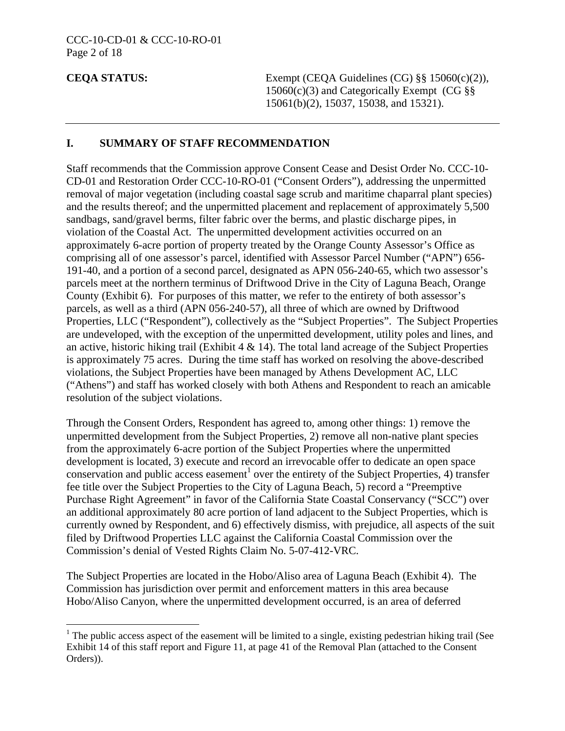$\overline{a}$ 

**CEQA STATUS:** Exempt (CEQA Guidelines (CG) §§ 15060(c)(2)),  $15060(c)(3)$  and Categorically Exempt (CG §§ 15061(b)(2), 15037, 15038, and 15321).

#### **I. SUMMARY OF STAFF RECOMMENDATION**

Staff recommends that the Commission approve Consent Cease and Desist Order No. CCC-10- CD-01 and Restoration Order CCC-10-RO-01 ("Consent Orders"), addressing the unpermitted removal of major vegetation (including coastal sage scrub and maritime chaparral plant species) and the results thereof; and the unpermitted placement and replacement of approximately 5,500 sandbags, sand/gravel berms, filter fabric over the berms, and plastic discharge pipes, in violation of the Coastal Act. The unpermitted development activities occurred on an approximately 6-acre portion of property treated by the Orange County Assessor's Office as comprising all of one assessor's parcel, identified with Assessor Parcel Number ("APN") 656- 191-40, and a portion of a second parcel, designated as APN 056-240-65, which two assessor's parcels meet at the northern terminus of Driftwood Drive in the City of Laguna Beach, Orange County (Exhibit 6). For purposes of this matter, we refer to the entirety of both assessor's parcels, as well as a third (APN 056-240-57), all three of which are owned by Driftwood Properties, LLC ("Respondent"), collectively as the "Subject Properties". The Subject Properties are undeveloped, with the exception of the unpermitted development, utility poles and lines, and an active, historic hiking trail (Exhibit 4  $\&$  14). The total land acreage of the Subject Properties is approximately 75 acres. During the time staff has worked on resolving the above-described violations, the Subject Properties have been managed by Athens Development AC, LLC ("Athens") and staff has worked closely with both Athens and Respondent to reach an amicable resolution of the subject violations.

Through the Consent Orders, Respondent has agreed to, among other things: 1) remove the unpermitted development from the Subject Properties, 2) remove all non-native plant species from the approximately 6-acre portion of the Subject Properties where the unpermitted development is located, 3) execute and record an irrevocable offer to dedicate an open space conservation and public access easement<sup>[1](#page-1-0)</sup> over the entirety of the Subject Properties, 4) transfer fee title over the Subject Properties to the City of Laguna Beach, 5) record a "Preemptive Purchase Right Agreement" in favor of the California State Coastal Conservancy ("SCC") over an additional approximately 80 acre portion of land adjacent to the Subject Properties, which is currently owned by Respondent, and 6) effectively dismiss, with prejudice, all aspects of the suit filed by Driftwood Properties LLC against the California Coastal Commission over the Commission's denial of Vested Rights Claim No. 5-07-412-VRC.

The Subject Properties are located in the Hobo/Aliso area of Laguna Beach (Exhibit 4). The Commission has jurisdiction over permit and enforcement matters in this area because Hobo/Aliso Canyon, where the unpermitted development occurred, is an area of deferred

<span id="page-1-0"></span><sup>&</sup>lt;sup>1</sup> The public access aspect of the easement will be limited to a single, existing pedestrian hiking trail (See Exhibit 14 of this staff report and Figure 11, at page 41 of the Removal Plan (attached to the Consent Orders)).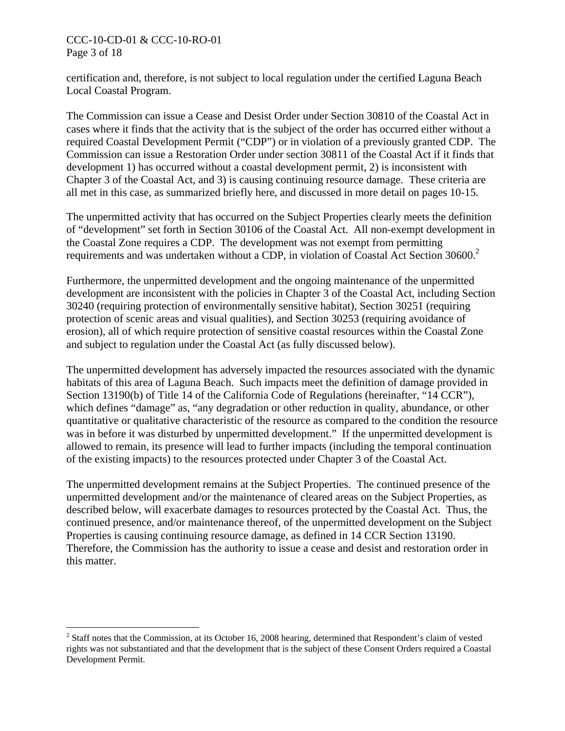#### CCC-10-CD-01 & CCC-10-RO-01 Page 3 of 18

 $\overline{a}$ 

certification and, therefore, is not subject to local regulation under the certified Laguna Beach Local Coastal Program.

The Commission can issue a Cease and Desist Order under Section 30810 of the Coastal Act in cases where it finds that the activity that is the subject of the order has occurred either without a required Coastal Development Permit ("CDP") or in violation of a previously granted CDP. The Commission can issue a Restoration Order under section 30811 of the Coastal Act if it finds that development 1) has occurred without a coastal development permit, 2) is inconsistent with Chapter 3 of the Coastal Act, and 3) is causing continuing resource damage. These criteria are all met in this case, as summarized briefly here, and discussed in more detail on pages 10-15.

The unpermitted activity that has occurred on the Subject Properties clearly meets the definition of "development" set forth in Section 30106 of the Coastal Act. All non-exempt development in the Coastal Zone requires a CDP. The development was not exempt from permitting requirements and was undertaken without a CDP, in violation of Coastal Act Section 30600.<sup>[2](#page-2-0)</sup>

Furthermore, the unpermitted development and the ongoing maintenance of the unpermitted development are inconsistent with the policies in Chapter 3 of the Coastal Act, including Section 30240 (requiring protection of environmentally sensitive habitat), Section 30251 (requiring protection of scenic areas and visual qualities), and Section 30253 (requiring avoidance of erosion), all of which require protection of sensitive coastal resources within the Coastal Zone and subject to regulation under the Coastal Act (as fully discussed below).

The unpermitted development has adversely impacted the resources associated with the dynamic habitats of this area of Laguna Beach. Such impacts meet the definition of damage provided in Section 13190(b) of Title 14 of the California Code of Regulations (hereinafter, "14 CCR"), which defines "damage" as, "any degradation or other reduction in quality, abundance, or other quantitative or qualitative characteristic of the resource as compared to the condition the resource was in before it was disturbed by unpermitted development." If the unpermitted development is allowed to remain, its presence will lead to further impacts (including the temporal continuation of the existing impacts) to the resources protected under Chapter 3 of the Coastal Act.

The unpermitted development remains at the Subject Properties. The continued presence of the unpermitted development and/or the maintenance of cleared areas on the Subject Properties, as described below, will exacerbate damages to resources protected by the Coastal Act. Thus, the continued presence, and/or maintenance thereof, of the unpermitted development on the Subject Properties is causing continuing resource damage, as defined in 14 CCR Section 13190. Therefore, the Commission has the authority to issue a cease and desist and restoration order in this matter.

<span id="page-2-0"></span> $2^2$  Staff notes that the Commission, at its October 16, 2008 hearing, determined that Respondent's claim of vested rights was not substantiated and that the development that is the subject of these Consent Orders required a Coastal Development Permit.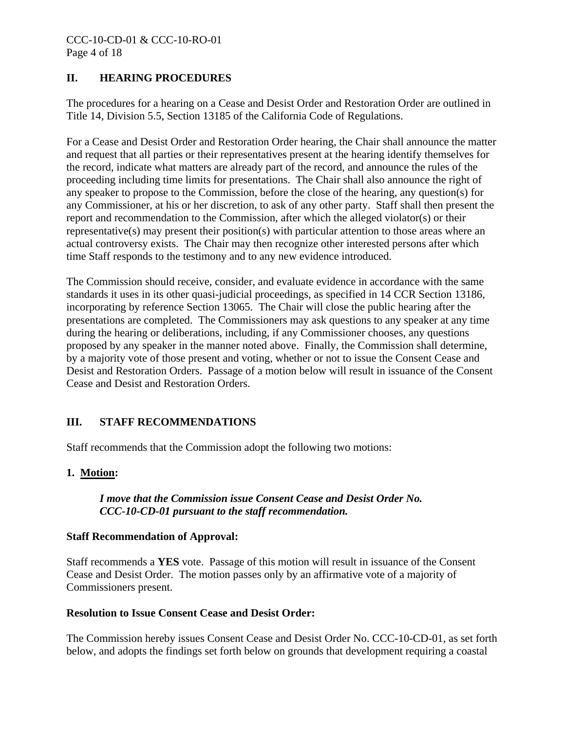# **II. HEARING PROCEDURES**

The procedures for a hearing on a Cease and Desist Order and Restoration Order are outlined in Title 14, Division 5.5, Section 13185 of the California Code of Regulations.

For a Cease and Desist Order and Restoration Order hearing, the Chair shall announce the matter and request that all parties or their representatives present at the hearing identify themselves for the record, indicate what matters are already part of the record, and announce the rules of the proceeding including time limits for presentations. The Chair shall also announce the right of any speaker to propose to the Commission, before the close of the hearing, any question(s) for any Commissioner, at his or her discretion, to ask of any other party. Staff shall then present the report and recommendation to the Commission, after which the alleged violator(s) or their representative(s) may present their position(s) with particular attention to those areas where an actual controversy exists. The Chair may then recognize other interested persons after which time Staff responds to the testimony and to any new evidence introduced.

The Commission should receive, consider, and evaluate evidence in accordance with the same standards it uses in its other quasi-judicial proceedings, as specified in 14 CCR Section 13186, incorporating by reference Section 13065. The Chair will close the public hearing after the presentations are completed. The Commissioners may ask questions to any speaker at any time during the hearing or deliberations, including, if any Commissioner chooses, any questions proposed by any speaker in the manner noted above. Finally, the Commission shall determine, by a majority vote of those present and voting, whether or not to issue the Consent Cease and Desist and Restoration Orders. Passage of a motion below will result in issuance of the Consent Cease and Desist and Restoration Orders.

# **III. STAFF RECOMMENDATIONS**

Staff recommends that the Commission adopt the following two motions:

### **1. Motion:**

### *I move that the Commission issue Consent Cease and Desist Order No. CCC-10-CD-01 pursuant to the staff recommendation.*

#### **Staff Recommendation of Approval:**

Staff recommends a **YES** vote. Passage of this motion will result in issuance of the Consent Cease and Desist Order. The motion passes only by an affirmative vote of a majority of Commissioners present.

#### **Resolution to Issue Consent Cease and Desist Order:**

The Commission hereby issues Consent Cease and Desist Order No. CCC-10-CD-01, as set forth below, and adopts the findings set forth below on grounds that development requiring a coastal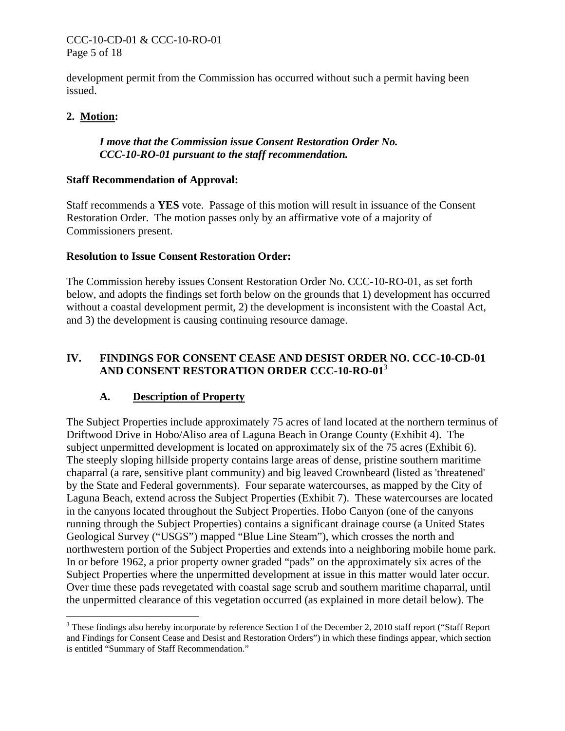#### CCC-10-CD-01 & CCC-10-RO-01 Page 5 of 18

development permit from the Commission has occurred without such a permit having been issued.

#### **2. Motion:**

<u>.</u>

#### *I move that the Commission issue Consent Restoration Order No. CCC-10-RO-01 pursuant to the staff recommendation.*

#### **Staff Recommendation of Approval:**

Staff recommends a **YES** vote. Passage of this motion will result in issuance of the Consent Restoration Order. The motion passes only by an affirmative vote of a majority of Commissioners present.

#### **Resolution to Issue Consent Restoration Order:**

The Commission hereby issues Consent Restoration Order No. CCC-10-RO-01, as set forth below, and adopts the findings set forth below on the grounds that 1) development has occurred without a coastal development permit, 2) the development is inconsistent with the Coastal Act, and 3) the development is causing continuing resource damage.

## **IV. FINDINGS FOR CONSENT CEASE AND DESIST ORDER NO. CCC-10-CD-01 AND CONSENT RESTORATION ORDER CCC-10-RO-01**[3](#page-4-0)

### **A. Description of Property**

The Subject Properties include approximately 75 acres of land located at the northern terminus of Driftwood Drive in Hobo/Aliso area of Laguna Beach in Orange County (Exhibit 4). The subject unpermitted development is located on approximately six of the 75 acres (Exhibit 6). The steeply sloping hillside property contains large areas of dense, pristine southern maritime chaparral (a rare, sensitive plant community) and big leaved Crownbeard (listed as 'threatened' by the State and Federal governments). Four separate watercourses, as mapped by the City of Laguna Beach, extend across the Subject Properties (Exhibit 7). These watercourses are located in the canyons located throughout the Subject Properties. Hobo Canyon (one of the canyons running through the Subject Properties) contains a significant drainage course (a United States Geological Survey ("USGS") mapped "Blue Line Steam"), which crosses the north and northwestern portion of the Subject Properties and extends into a neighboring mobile home park. In or before 1962, a prior property owner graded "pads" on the approximately six acres of the Subject Properties where the unpermitted development at issue in this matter would later occur. Over time these pads revegetated with coastal sage scrub and southern maritime chaparral, until the unpermitted clearance of this vegetation occurred (as explained in more detail below). The

<span id="page-4-0"></span> $3$  These findings also hereby incorporate by reference Section I of the December 2, 2010 staff report ("Staff Report and Findings for Consent Cease and Desist and Restoration Orders") in which these findings appear, which section is entitled "Summary of Staff Recommendation."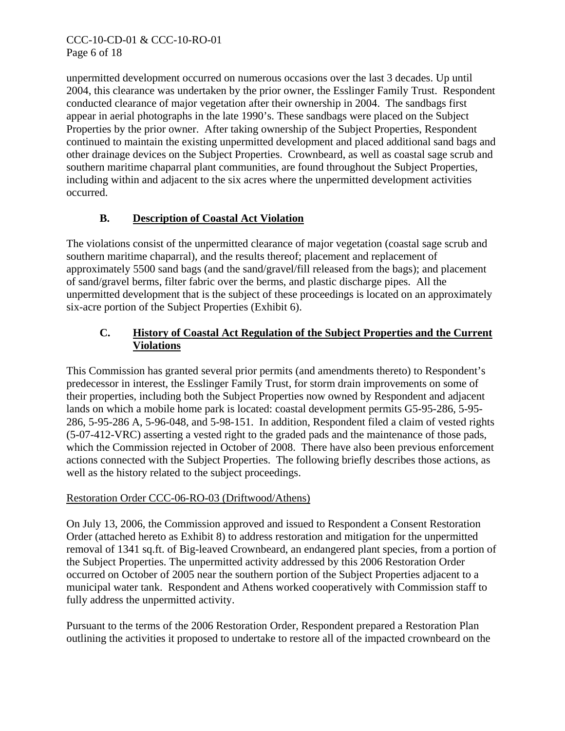unpermitted development occurred on numerous occasions over the last 3 decades. Up until 2004, this clearance was undertaken by the prior owner, the Esslinger Family Trust. Respondent conducted clearance of major vegetation after their ownership in 2004. The sandbags first appear in aerial photographs in the late 1990's. These sandbags were placed on the Subject Properties by the prior owner. After taking ownership of the Subject Properties, Respondent continued to maintain the existing unpermitted development and placed additional sand bags and other drainage devices on the Subject Properties. Crownbeard, as well as coastal sage scrub and southern maritime chaparral plant communities, are found throughout the Subject Properties, including within and adjacent to the six acres where the unpermitted development activities occurred.

# **B. Description of Coastal Act Violation**

The violations consist of the unpermitted clearance of major vegetation (coastal sage scrub and southern maritime chaparral), and the results thereof; placement and replacement of approximately 5500 sand bags (and the sand/gravel/fill released from the bags); and placement of sand/gravel berms, filter fabric over the berms, and plastic discharge pipes. All the unpermitted development that is the subject of these proceedings is located on an approximately six-acre portion of the Subject Properties (Exhibit 6).

# **C. History of Coastal Act Regulation of the Subject Properties and the Current Violations**

This Commission has granted several prior permits (and amendments thereto) to Respondent's predecessor in interest, the Esslinger Family Trust, for storm drain improvements on some of their properties, including both the Subject Properties now owned by Respondent and adjacent lands on which a mobile home park is located: coastal development permits G5-95-286, 5-95- 286, 5-95-286 A, 5-96-048, and 5-98-151. In addition, Respondent filed a claim of vested rights (5-07-412-VRC) asserting a vested right to the graded pads and the maintenance of those pads, which the Commission rejected in October of 2008. There have also been previous enforcement actions connected with the Subject Properties. The following briefly describes those actions, as well as the history related to the subject proceedings.

# Restoration Order CCC-06-RO-03 (Driftwood/Athens)

On July 13, 2006, the Commission approved and issued to Respondent a Consent Restoration Order (attached hereto as Exhibit 8) to address restoration and mitigation for the unpermitted removal of 1341 sq.ft. of Big-leaved Crownbeard, an endangered plant species, from a portion of the Subject Properties. The unpermitted activity addressed by this 2006 Restoration Order occurred on October of 2005 near the southern portion of the Subject Properties adjacent to a municipal water tank. Respondent and Athens worked cooperatively with Commission staff to fully address the unpermitted activity.

Pursuant to the terms of the 2006 Restoration Order, Respondent prepared a Restoration Plan outlining the activities it proposed to undertake to restore all of the impacted crownbeard on the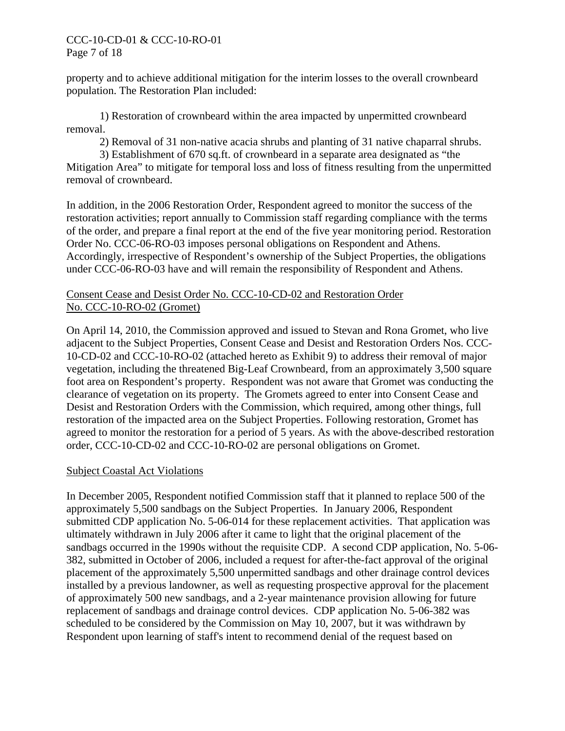#### CCC-10-CD-01 & CCC-10-RO-01 Page 7 of 18

property and to achieve additional mitigation for the interim losses to the overall crownbeard population. The Restoration Plan included:

 1) Restoration of crownbeard within the area impacted by unpermitted crownbeard removal.

2) Removal of 31 non-native acacia shrubs and planting of 31 native chaparral shrubs.

 3) Establishment of 670 sq.ft. of crownbeard in a separate area designated as "the Mitigation Area" to mitigate for temporal loss and loss of fitness resulting from the unpermitted removal of crownbeard.

In addition, in the 2006 Restoration Order, Respondent agreed to monitor the success of the restoration activities; report annually to Commission staff regarding compliance with the terms of the order, and prepare a final report at the end of the five year monitoring period. Restoration Order No. CCC-06-RO-03 imposes personal obligations on Respondent and Athens. Accordingly, irrespective of Respondent's ownership of the Subject Properties, the obligations under CCC-06-RO-03 have and will remain the responsibility of Respondent and Athens.

#### Consent Cease and Desist Order No. CCC-10-CD-02 and Restoration Order No. CCC-10-RO-02 (Gromet)

On April 14, 2010, the Commission approved and issued to Stevan and Rona Gromet, who live adjacent to the Subject Properties, Consent Cease and Desist and Restoration Orders Nos. CCC-10-CD-02 and CCC-10-RO-02 (attached hereto as Exhibit 9) to address their removal of major vegetation, including the threatened Big-Leaf Crownbeard, from an approximately 3,500 square foot area on Respondent's property. Respondent was not aware that Gromet was conducting the clearance of vegetation on its property. The Gromets agreed to enter into Consent Cease and Desist and Restoration Orders with the Commission, which required, among other things, full restoration of the impacted area on the Subject Properties. Following restoration, Gromet has agreed to monitor the restoration for a period of 5 years. As with the above-described restoration order, CCC-10-CD-02 and CCC-10-RO-02 are personal obligations on Gromet.

### Subject Coastal Act Violations

In December 2005, Respondent notified Commission staff that it planned to replace 500 of the approximately 5,500 sandbags on the Subject Properties. In January 2006, Respondent submitted CDP application No. 5-06-014 for these replacement activities. That application was ultimately withdrawn in July 2006 after it came to light that the original placement of the sandbags occurred in the 1990s without the requisite CDP. A second CDP application, No. 5-06- 382, submitted in October of 2006, included a request for after-the-fact approval of the original placement of the approximately 5,500 unpermitted sandbags and other drainage control devices installed by a previous landowner, as well as requesting prospective approval for the placement of approximately 500 new sandbags, and a 2-year maintenance provision allowing for future replacement of sandbags and drainage control devices. CDP application No. 5-06-382 was scheduled to be considered by the Commission on May 10, 2007, but it was withdrawn by Respondent upon learning of staff's intent to recommend denial of the request based on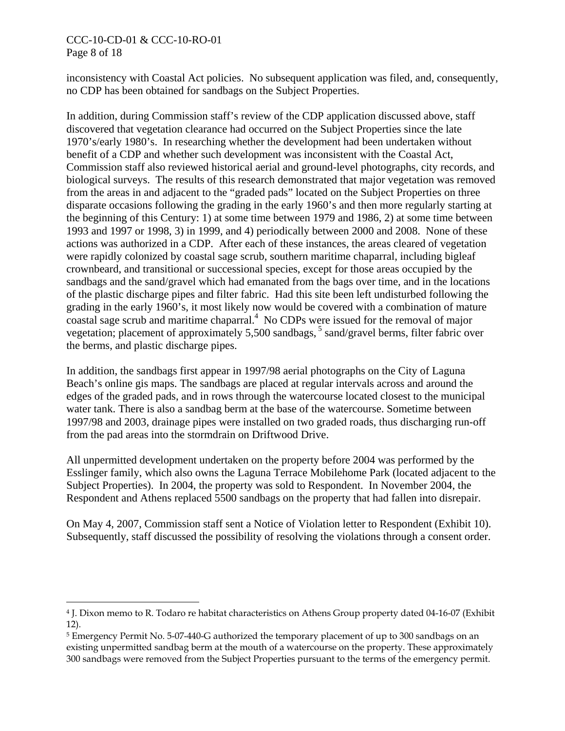#### CCC-10-CD-01 & CCC-10-RO-01 Page 8 of 18

 $\overline{a}$ 

inconsistency with Coastal Act policies. No subsequent application was filed, and, consequently, no CDP has been obtained for sandbags on the Subject Properties.

In addition, during Commission staff's review of the CDP application discussed above, staff discovered that vegetation clearance had occurred on the Subject Properties since the late 1970's/early 1980's. In researching whether the development had been undertaken without benefit of a CDP and whether such development was inconsistent with the Coastal Act, Commission staff also reviewed historical aerial and ground-level photographs, city records, and biological surveys. The results of this research demonstrated that major vegetation was removed from the areas in and adjacent to the "graded pads" located on the Subject Properties on three disparate occasions following the grading in the early 1960's and then more regularly starting at the beginning of this Century: 1) at some time between 1979 and 1986, 2) at some time between 1993 and 1997 or 1998, 3) in 1999, and 4) periodically between 2000 and 2008. None of these actions was authorized in a CDP. After each of these instances, the areas cleared of vegetation were rapidly colonized by coastal sage scrub, southern maritime chaparral, including bigleaf crownbeard, and transitional or successional species, except for those areas occupied by the sandbags and the sand/gravel which had emanated from the bags over time, and in the locations of the plastic discharge pipes and filter fabric. Had this site been left undisturbed following the grading in the early 1960's, it most likely now would be covered with a combination of mature coastal sage scrub and maritime chaparral.<sup>4</sup> No CDPs were issued for the removal of major vegetation; placement of approximately  $5,500$  sandbags,  $5$  sand/gravel berms, filter fabric over the berms, and plastic discharge pipes.

In addition, the sandbags first appear in 1997/98 aerial photographs on the City of Laguna Beach's online gis maps. The sandbags are placed at regular intervals across and around the edges of the graded pads, and in rows through the watercourse located closest to the municipal water tank. There is also a sandbag berm at the base of the watercourse. Sometime between 1997/98 and 2003, drainage pipes were installed on two graded roads, thus discharging run-off from the pad areas into the stormdrain on Driftwood Drive.

All unpermitted development undertaken on the property before 2004 was performed by the Esslinger family, which also owns the Laguna Terrace Mobilehome Park (located adjacent to the Subject Properties). In 2004, the property was sold to Respondent. In November 2004, the Respondent and Athens replaced 5500 sandbags on the property that had fallen into disrepair.

On May 4, 2007, Commission staff sent a Notice of Violation letter to Respondent (Exhibit 10). Subsequently, staff discussed the possibility of resolving the violations through a consent order.

<span id="page-7-0"></span><sup>4</sup> J. Dixon memo to R. Todaro re habitat characteristics on Athens Group property dated 04-16-07 (Exhibit 12).

<span id="page-7-1"></span><sup>5</sup> Emergency Permit No. 5-07-440-G authorized the temporary placement of up to 300 sandbags on an existing unpermitted sandbag berm at the mouth of a watercourse on the property. These approximately 300 sandbags were removed from the Subject Properties pursuant to the terms of the emergency permit.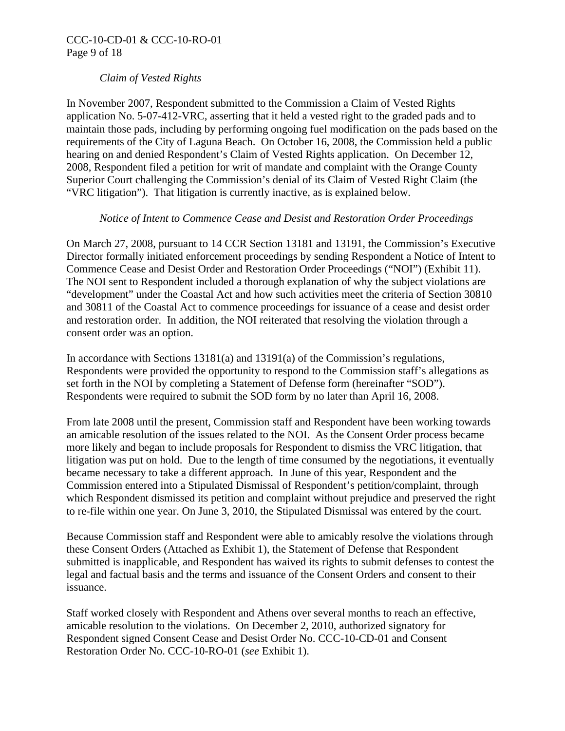#### *Claim of Vested Rights*

In November 2007, Respondent submitted to the Commission a Claim of Vested Rights application No. 5-07-412-VRC, asserting that it held a vested right to the graded pads and to maintain those pads, including by performing ongoing fuel modification on the pads based on the requirements of the City of Laguna Beach. On October 16, 2008, the Commission held a public hearing on and denied Respondent's Claim of Vested Rights application. On December 12, 2008, Respondent filed a petition for writ of mandate and complaint with the Orange County Superior Court challenging the Commission's denial of its Claim of Vested Right Claim (the "VRC litigation"). That litigation is currently inactive, as is explained below.

#### *Notice of Intent to Commence Cease and Desist and Restoration Order Proceedings*

On March 27, 2008, pursuant to 14 CCR Section 13181 and 13191, the Commission's Executive Director formally initiated enforcement proceedings by sending Respondent a Notice of Intent to Commence Cease and Desist Order and Restoration Order Proceedings ("NOI") (Exhibit 11). The NOI sent to Respondent included a thorough explanation of why the subject violations are "development" under the Coastal Act and how such activities meet the criteria of Section 30810 and 30811 of the Coastal Act to commence proceedings for issuance of a cease and desist order and restoration order. In addition, the NOI reiterated that resolving the violation through a consent order was an option.

In accordance with Sections 13181(a) and 13191(a) of the Commission's regulations, Respondents were provided the opportunity to respond to the Commission staff's allegations as set forth in the NOI by completing a Statement of Defense form (hereinafter "SOD"). Respondents were required to submit the SOD form by no later than April 16, 2008.

From late 2008 until the present, Commission staff and Respondent have been working towards an amicable resolution of the issues related to the NOI. As the Consent Order process became more likely and began to include proposals for Respondent to dismiss the VRC litigation, that litigation was put on hold. Due to the length of time consumed by the negotiations, it eventually became necessary to take a different approach. In June of this year, Respondent and the Commission entered into a Stipulated Dismissal of Respondent's petition/complaint, through which Respondent dismissed its petition and complaint without prejudice and preserved the right to re-file within one year. On June 3, 2010, the Stipulated Dismissal was entered by the court.

Because Commission staff and Respondent were able to amicably resolve the violations through these Consent Orders (Attached as Exhibit 1), the Statement of Defense that Respondent submitted is inapplicable, and Respondent has waived its rights to submit defenses to contest the legal and factual basis and the terms and issuance of the Consent Orders and consent to their issuance.

Staff worked closely with Respondent and Athens over several months to reach an effective, amicable resolution to the violations. On December 2, 2010, authorized signatory for Respondent signed Consent Cease and Desist Order No. CCC-10-CD-01 and Consent Restoration Order No. CCC-10-RO-01 (*see* Exhibit 1).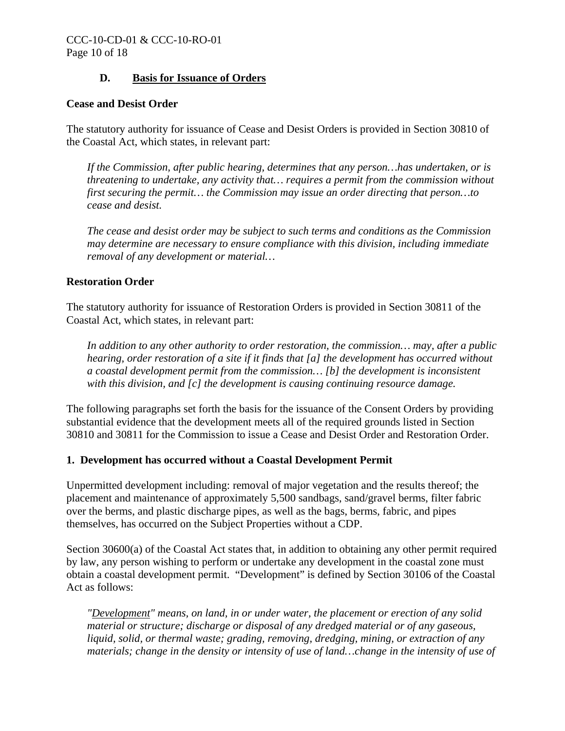#### **D. Basis for Issuance of Orders**

#### **Cease and Desist Order**

The statutory authority for issuance of Cease and Desist Orders is provided in Section 30810 of the Coastal Act, which states, in relevant part:

*If the Commission, after public hearing, determines that any person…has undertaken, or is threatening to undertake, any activity that… requires a permit from the commission without first securing the permit… the Commission may issue an order directing that person…to cease and desist.* 

*The cease and desist order may be subject to such terms and conditions as the Commission may determine are necessary to ensure compliance with this division, including immediate removal of any development or material…* 

#### **Restoration Order**

The statutory authority for issuance of Restoration Orders is provided in Section 30811 of the Coastal Act, which states, in relevant part:

*In addition to any other authority to order restoration, the commission… may, after a public hearing, order restoration of a site if it finds that [a] the development has occurred without a coastal development permit from the commission… [b] the development is inconsistent with this division, and [c] the development is causing continuing resource damage.* 

The following paragraphs set forth the basis for the issuance of the Consent Orders by providing substantial evidence that the development meets all of the required grounds listed in Section 30810 and 30811 for the Commission to issue a Cease and Desist Order and Restoration Order.

#### **1. Development has occurred without a Coastal Development Permit**

Unpermitted development including: removal of major vegetation and the results thereof; the placement and maintenance of approximately 5,500 sandbags, sand/gravel berms, filter fabric over the berms, and plastic discharge pipes, as well as the bags, berms, fabric, and pipes themselves, has occurred on the Subject Properties without a CDP.

Section 30600(a) of the Coastal Act states that, in addition to obtaining any other permit required by law, any person wishing to perform or undertake any development in the coastal zone must obtain a coastal development permit. "Development" is defined by Section 30106 of the Coastal Act as follows:

*"Development" means, on land, in or under water, the placement or erection of any solid material or structure; discharge or disposal of any dredged material or of any gaseous, liquid, solid, or thermal waste; grading, removing, dredging, mining, or extraction of any materials; change in the density or intensity of use of land…change in the intensity of use of*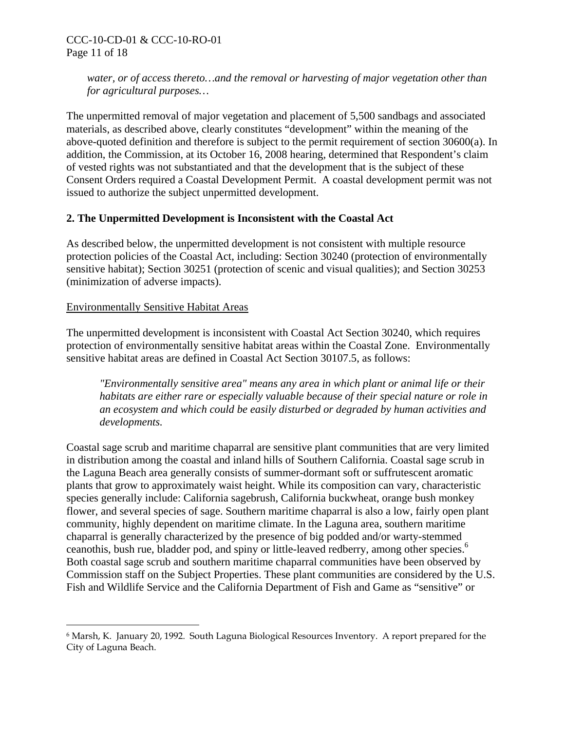*water, or of access thereto…and the removal or harvesting of major vegetation other than for agricultural purposes…*

The unpermitted removal of major vegetation and placement of 5,500 sandbags and associated materials, as described above, clearly constitutes "development" within the meaning of the above-quoted definition and therefore is subject to the permit requirement of section 30600(a). In addition, the Commission, at its October 16, 2008 hearing, determined that Respondent's claim of vested rights was not substantiated and that the development that is the subject of these Consent Orders required a Coastal Development Permit. A coastal development permit was not issued to authorize the subject unpermitted development.

### **2. The Unpermitted Development is Inconsistent with the Coastal Act**

As described below, the unpermitted development is not consistent with multiple resource protection policies of the Coastal Act, including: Section 30240 (protection of environmentally sensitive habitat); Section 30251 (protection of scenic and visual qualities); and Section 30253 (minimization of adverse impacts).

### Environmentally Sensitive Habitat Areas

1

The unpermitted development is inconsistent with Coastal Act Section 30240, which requires protection of environmentally sensitive habitat areas within the Coastal Zone. Environmentally sensitive habitat areas are defined in Coastal Act Section 30107.5, as follows:

*"Environmentally sensitive area" means any area in which plant or animal life or their habitats are either rare or especially valuable because of their special nature or role in an ecosystem and which could be easily disturbed or degraded by human activities and developments.*

Coastal sage scrub and maritime chaparral are sensitive plant communities that are very limited in distribution among the coastal and inland hills of Southern California. Coastal sage scrub in the Laguna Beach area generally consists of summer-dormant soft or suffrutescent aromatic plants that grow to approximately waist height. While its composition can vary, characteristic species generally include: California sagebrush, California buckwheat, orange bush monkey flower, and several species of sage. Southern maritime chaparral is also a low, fairly open plant community, highly dependent on maritime climate. In the Laguna area, southern maritime chaparral is generally characterized by the presence of big podded and/or warty-stemmed ceanothis, bush rue, bladder pod, and spiny or little-leaved redberry, among other species.<sup>[6](#page-10-0)</sup> Both coastal sage scrub and southern maritime chaparral communities have been observed by Commission staff on the Subject Properties. These plant communities are considered by the U.S. Fish and Wildlife Service and the California Department of Fish and Game as "sensitive" or

<span id="page-10-0"></span><sup>6</sup> Marsh, K. January 20, 1992. South Laguna Biological Resources Inventory. A report prepared for the City of Laguna Beach.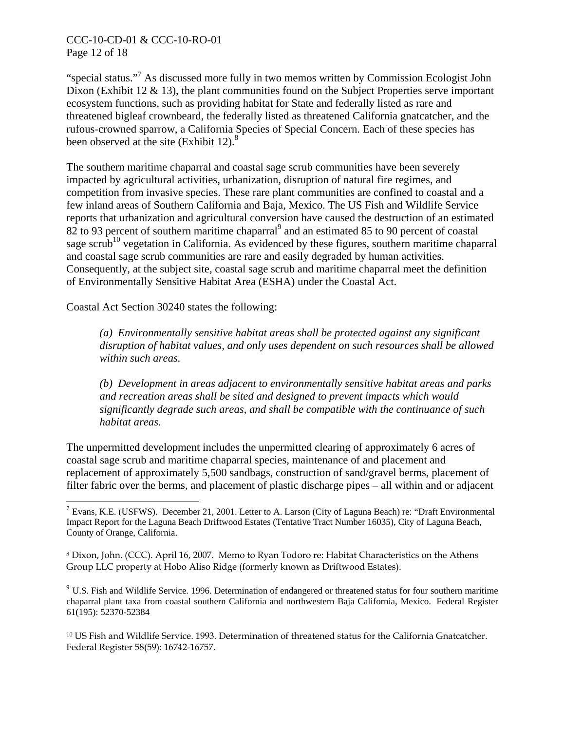#### CCC-10-CD-01 & CCC-10-RO-01 Page 12 of 18

"special status."<sup>[7](#page-11-0)</sup> As discussed more fully in two memos written by Commission Ecologist John Dixon (Exhibit 12  $\&$  13), the plant communities found on the Subject Properties serve important ecosystem functions, such as providing habitat for State and federally listed as rare and threatened bigleaf crownbeard, the federally listed as threatened California gnatcatcher, and the rufous-crowned sparrow, a California Species of Special Concern. Each of these species has been observed at the site  $(Exhibit 12)<sup>8</sup>$ 

The southern maritime chaparral and coastal sage scrub communities have been severely impacted by agricultural activities, urbanization, disruption of natural fire regimes, and competition from invasive species. These rare plant communities are confined to coastal and a few inland areas of Southern California and Baja, Mexico. The US Fish and Wildlife Service reports that urbanization and agricultural conversion have caused the destruction of an estimated  $82$  to [9](#page-11-2)3 percent of southern maritime chaparral<sup>9</sup> and an estimated 85 to 90 percent of coastal sage scrub<sup>10</sup> vegetation in California. As evidenced by these figures, southern maritime chaparral and coastal sage scrub communities are rare and easily degraded by human activities. Consequently, at the subject site, coastal sage scrub and maritime chaparral meet the definition of Environmentally Sensitive Habitat Area (ESHA) under the Coastal Act.

Coastal Act Section 30240 states the following:

 $\overline{a}$ 

*(a) Environmentally sensitive habitat areas shall be protected against any significant disruption of habitat values, and only uses dependent on such resources shall be allowed within such areas.* 

*(b) Development in areas adjacent to environmentally sensitive habitat areas and parks and recreation areas shall be sited and designed to prevent impacts which would significantly degrade such areas, and shall be compatible with the continuance of such habitat areas.* 

The unpermitted development includes the unpermitted clearing of approximately 6 acres of coastal sage scrub and maritime chaparral species, maintenance of and placement and replacement of approximately 5,500 sandbags, construction of sand/gravel berms, placement of filter fabric over the berms, and placement of plastic discharge pipes – all within and or adjacent

<span id="page-11-2"></span><sup>9</sup> U.S. Fish and Wildlife Service. 1996. Determination of endangered or threatened status for four southern maritime chaparral plant taxa from coastal southern California and northwestern Baja California, Mexico. Federal Register 61(195): 52370-52384

<span id="page-11-3"></span>10 US Fish and Wildlife Service. 1993. Determination of threatened status for the California Gnatcatcher. Federal Register 58(59): 16742-16757.

<span id="page-11-0"></span><sup>7</sup> Evans, K.E. (USFWS). December 21, 2001. Letter to A. Larson (City of Laguna Beach) re: "Draft Environmental Impact Report for the Laguna Beach Driftwood Estates (Tentative Tract Number 16035), City of Laguna Beach, County of Orange, California.

<span id="page-11-1"></span><sup>8</sup> Dixon, John. (CCC). April 16, 2007. Memo to Ryan Todoro re: Habitat Characteristics on the Athens Group LLC property at Hobo Aliso Ridge (formerly known as Driftwood Estates).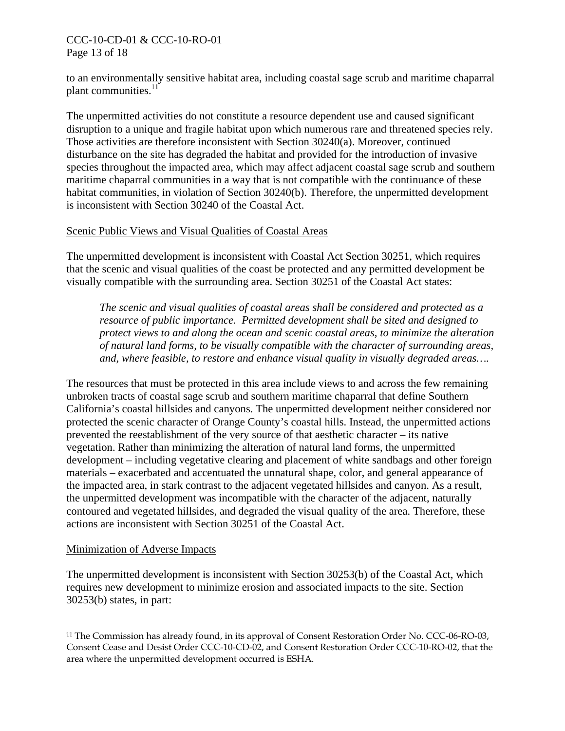#### CCC-10-CD-01 & CCC-10-RO-01 Page 13 of 18

to an environmentally sensitive habitat area, including coastal sage scrub and maritime chaparral plant communities. $11$ 

The unpermitted activities do not constitute a resource dependent use and caused significant disruption to a unique and fragile habitat upon which numerous rare and threatened species rely. Those activities are therefore inconsistent with Section 30240(a). Moreover, continued disturbance on the site has degraded the habitat and provided for the introduction of invasive species throughout the impacted area, which may affect adjacent coastal sage scrub and southern maritime chaparral communities in a way that is not compatible with the continuance of these habitat communities, in violation of Section 30240(b). Therefore, the unpermitted development is inconsistent with Section 30240 of the Coastal Act.

#### Scenic Public Views and Visual Qualities of Coastal Areas

The unpermitted development is inconsistent with Coastal Act Section 30251, which requires that the scenic and visual qualities of the coast be protected and any permitted development be visually compatible with the surrounding area. Section 30251 of the Coastal Act states:

*The scenic and visual qualities of coastal areas shall be considered and protected as a resource of public importance. Permitted development shall be sited and designed to protect views to and along the ocean and scenic coastal areas, to minimize the alteration of natural land forms, to be visually compatible with the character of surrounding areas, and, where feasible, to restore and enhance visual quality in visually degraded areas….* 

The resources that must be protected in this area include views to and across the few remaining unbroken tracts of coastal sage scrub and southern maritime chaparral that define Southern California's coastal hillsides and canyons. The unpermitted development neither considered nor protected the scenic character of Orange County's coastal hills. Instead, the unpermitted actions prevented the reestablishment of the very source of that aesthetic character – its native vegetation. Rather than minimizing the alteration of natural land forms, the unpermitted development – including vegetative clearing and placement of white sandbags and other foreign materials – exacerbated and accentuated the unnatural shape, color, and general appearance of the impacted area, in stark contrast to the adjacent vegetated hillsides and canyon. As a result, the unpermitted development was incompatible with the character of the adjacent, naturally contoured and vegetated hillsides, and degraded the visual quality of the area. Therefore, these actions are inconsistent with Section 30251 of the Coastal Act.

#### Minimization of Adverse Impacts

 $\overline{a}$ 

The unpermitted development is inconsistent with Section 30253(b) of the Coastal Act, which requires new development to minimize erosion and associated impacts to the site. Section 30253(b) states, in part:

<span id="page-12-0"></span><sup>11</sup> The Commission has already found, in its approval of Consent Restoration Order No. CCC-06-RO-03, Consent Cease and Desist Order CCC-10-CD-02, and Consent Restoration Order CCC-10-RO-02, that the area where the unpermitted development occurred is ESHA.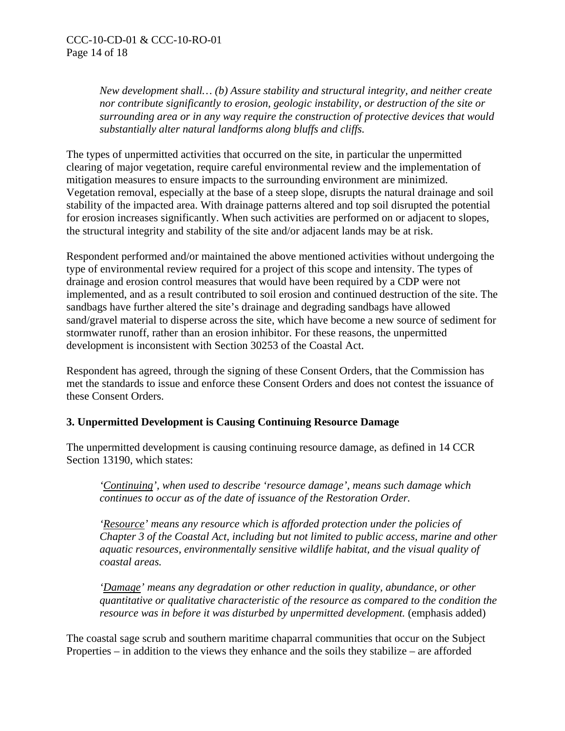*New development shall… (b) Assure stability and structural integrity, and neither create nor contribute significantly to erosion, geologic instability, or destruction of the site or surrounding area or in any way require the construction of protective devices that would substantially alter natural landforms along bluffs and cliffs.* 

The types of unpermitted activities that occurred on the site, in particular the unpermitted clearing of major vegetation, require careful environmental review and the implementation of mitigation measures to ensure impacts to the surrounding environment are minimized. Vegetation removal, especially at the base of a steep slope, disrupts the natural drainage and soil stability of the impacted area. With drainage patterns altered and top soil disrupted the potential for erosion increases significantly. When such activities are performed on or adjacent to slopes, the structural integrity and stability of the site and/or adjacent lands may be at risk.

Respondent performed and/or maintained the above mentioned activities without undergoing the type of environmental review required for a project of this scope and intensity. The types of drainage and erosion control measures that would have been required by a CDP were not implemented, and as a result contributed to soil erosion and continued destruction of the site. The sandbags have further altered the site's drainage and degrading sandbags have allowed sand/gravel material to disperse across the site, which have become a new source of sediment for stormwater runoff, rather than an erosion inhibitor. For these reasons, the unpermitted development is inconsistent with Section 30253 of the Coastal Act.

Respondent has agreed, through the signing of these Consent Orders, that the Commission has met the standards to issue and enforce these Consent Orders and does not contest the issuance of these Consent Orders.

### **3. Unpermitted Development is Causing Continuing Resource Damage**

The unpermitted development is causing continuing resource damage, as defined in 14 CCR Section 13190, which states:

*'Continuing', when used to describe 'resource damage', means such damage which continues to occur as of the date of issuance of the Restoration Order.* 

*'Resource' means any resource which is afforded protection under the policies of Chapter 3 of the Coastal Act, including but not limited to public access, marine and other aquatic resources, environmentally sensitive wildlife habitat, and the visual quality of coastal areas.* 

*'Damage' means any degradation or other reduction in quality, abundance, or other quantitative or qualitative characteristic of the resource as compared to the condition the resource was in before it was disturbed by unpermitted development.* (emphasis added)

The coastal sage scrub and southern maritime chaparral communities that occur on the Subject Properties – in addition to the views they enhance and the soils they stabilize – are afforded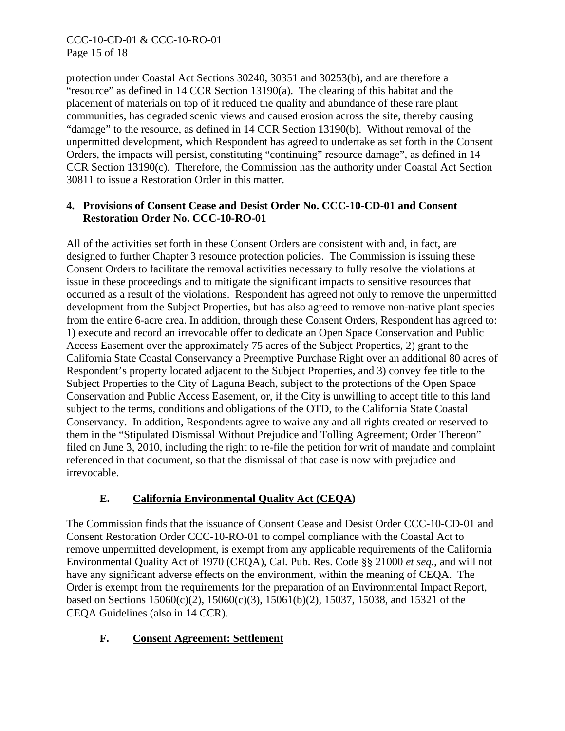## CCC-10-CD-01 & CCC-10-RO-01 Page 15 of 18

protection under Coastal Act Sections 30240, 30351 and 30253(b), and are therefore a "resource" as defined in 14 CCR Section 13190(a). The clearing of this habitat and the placement of materials on top of it reduced the quality and abundance of these rare plant communities, has degraded scenic views and caused erosion across the site, thereby causing "damage" to the resource, as defined in 14 CCR Section 13190(b). Without removal of the unpermitted development, which Respondent has agreed to undertake as set forth in the Consent Orders, the impacts will persist, constituting "continuing" resource damage", as defined in 14 CCR Section 13190(c). Therefore, the Commission has the authority under Coastal Act Section 30811 to issue a Restoration Order in this matter.

#### **4. Provisions of Consent Cease and Desist Order No. CCC-10-CD-01 and Consent Restoration Order No. CCC-10-RO-01**

All of the activities set forth in these Consent Orders are consistent with and, in fact, are designed to further Chapter 3 resource protection policies. The Commission is issuing these Consent Orders to facilitate the removal activities necessary to fully resolve the violations at issue in these proceedings and to mitigate the significant impacts to sensitive resources that occurred as a result of the violations. Respondent has agreed not only to remove the unpermitted development from the Subject Properties, but has also agreed to remove non-native plant species from the entire 6-acre area. In addition, through these Consent Orders, Respondent has agreed to: 1) execute and record an irrevocable offer to dedicate an Open Space Conservation and Public Access Easement over the approximately 75 acres of the Subject Properties, 2) grant to the California State Coastal Conservancy a Preemptive Purchase Right over an additional 80 acres of Respondent's property located adjacent to the Subject Properties, and 3) convey fee title to the Subject Properties to the City of Laguna Beach, subject to the protections of the Open Space Conservation and Public Access Easement, or, if the City is unwilling to accept title to this land subject to the terms, conditions and obligations of the OTD, to the California State Coastal Conservancy. In addition, Respondents agree to waive any and all rights created or reserved to them in the "Stipulated Dismissal Without Prejudice and Tolling Agreement; Order Thereon" filed on June 3, 2010, including the right to re-file the petition for writ of mandate and complaint referenced in that document, so that the dismissal of that case is now with prejudice and irrevocable.

# **E. California Environmental Quality Act (CEQA)**

The Commission finds that the issuance of Consent Cease and Desist Order CCC-10-CD-01 and Consent Restoration Order CCC-10-RO-01 to compel compliance with the Coastal Act to remove unpermitted development, is exempt from any applicable requirements of the California Environmental Quality Act of 1970 (CEQA), Cal. Pub. Res. Code §§ 21000 *et seq.*, and will not have any significant adverse effects on the environment, within the meaning of CEQA. The Order is exempt from the requirements for the preparation of an Environmental Impact Report, based on Sections 15060(c)(2), 15060(c)(3), 15061(b)(2), 15037, 15038, and 15321 of the CEQA Guidelines (also in 14 CCR).

# **F. Consent Agreement: Settlement**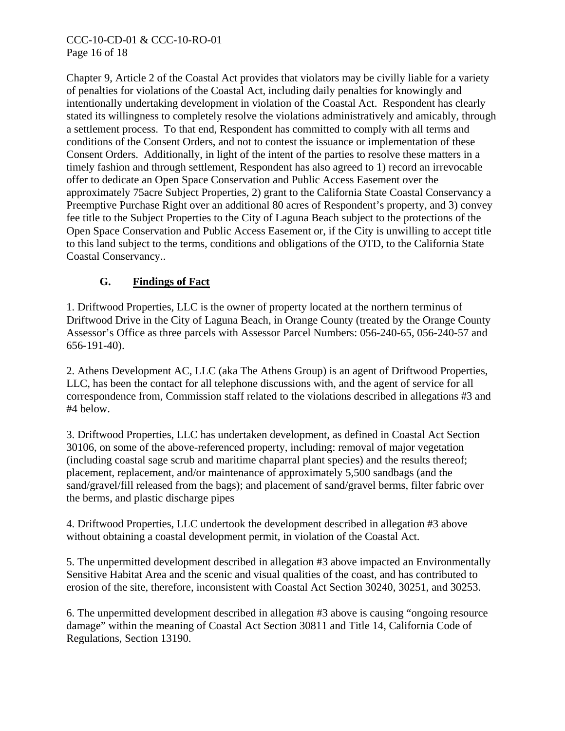#### CCC-10-CD-01 & CCC-10-RO-01 Page 16 of 18

Chapter 9, Article 2 of the Coastal Act provides that violators may be civilly liable for a variety of penalties for violations of the Coastal Act, including daily penalties for knowingly and intentionally undertaking development in violation of the Coastal Act. Respondent has clearly stated its willingness to completely resolve the violations administratively and amicably, through a settlement process. To that end, Respondent has committed to comply with all terms and conditions of the Consent Orders, and not to contest the issuance or implementation of these Consent Orders. Additionally, in light of the intent of the parties to resolve these matters in a timely fashion and through settlement, Respondent has also agreed to 1) record an irrevocable offer to dedicate an Open Space Conservation and Public Access Easement over the approximately 75acre Subject Properties, 2) grant to the California State Coastal Conservancy a Preemptive Purchase Right over an additional 80 acres of Respondent's property, and 3) convey fee title to the Subject Properties to the City of Laguna Beach subject to the protections of the Open Space Conservation and Public Access Easement or, if the City is unwilling to accept title to this land subject to the terms, conditions and obligations of the OTD, to the California State Coastal Conservancy..

# **G. Findings of Fact**

1. Driftwood Properties, LLC is the owner of property located at the northern terminus of Driftwood Drive in the City of Laguna Beach, in Orange County (treated by the Orange County Assessor's Office as three parcels with Assessor Parcel Numbers: 056-240-65, 056-240-57 and 656-191-40).

2. Athens Development AC, LLC (aka The Athens Group) is an agent of Driftwood Properties, LLC, has been the contact for all telephone discussions with, and the agent of service for all correspondence from, Commission staff related to the violations described in allegations #3 and #4 below.

3. Driftwood Properties, LLC has undertaken development, as defined in Coastal Act Section 30106, on some of the above-referenced property, including: removal of major vegetation (including coastal sage scrub and maritime chaparral plant species) and the results thereof; placement, replacement, and/or maintenance of approximately 5,500 sandbags (and the sand/gravel/fill released from the bags); and placement of sand/gravel berms, filter fabric over the berms, and plastic discharge pipes

4. Driftwood Properties, LLC undertook the development described in allegation #3 above without obtaining a coastal development permit, in violation of the Coastal Act.

5. The unpermitted development described in allegation #3 above impacted an Environmentally Sensitive Habitat Area and the scenic and visual qualities of the coast, and has contributed to erosion of the site, therefore, inconsistent with Coastal Act Section 30240, 30251, and 30253.

6. The unpermitted development described in allegation #3 above is causing "ongoing resource damage" within the meaning of Coastal Act Section 30811 and Title 14, California Code of Regulations, Section 13190.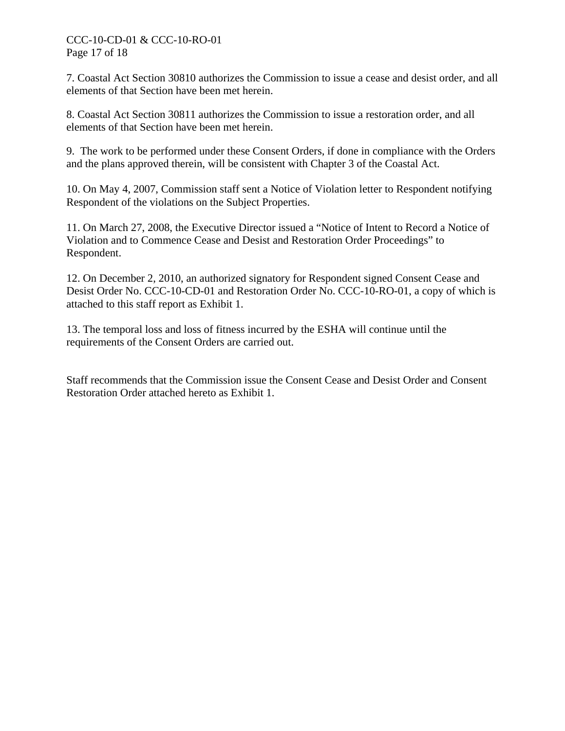#### CCC-10-CD-01 & CCC-10-RO-01 Page 17 of 18

7. Coastal Act Section 30810 authorizes the Commission to issue a cease and desist order, and all elements of that Section have been met herein.

8. Coastal Act Section 30811 authorizes the Commission to issue a restoration order, and all elements of that Section have been met herein.

9. The work to be performed under these Consent Orders, if done in compliance with the Orders and the plans approved therein, will be consistent with Chapter 3 of the Coastal Act.

10. On May 4, 2007, Commission staff sent a Notice of Violation letter to Respondent notifying Respondent of the violations on the Subject Properties.

11. On March 27, 2008, the Executive Director issued a "Notice of Intent to Record a Notice of Violation and to Commence Cease and Desist and Restoration Order Proceedings" to Respondent.

12. On December 2, 2010, an authorized signatory for Respondent signed Consent Cease and Desist Order No. CCC-10-CD-01 and Restoration Order No. CCC-10-RO-01, a copy of which is attached to this staff report as Exhibit 1.

13. The temporal loss and loss of fitness incurred by the ESHA will continue until the requirements of the Consent Orders are carried out.

Staff recommends that the Commission issue the Consent Cease and Desist Order and Consent Restoration Order attached hereto as Exhibit 1.